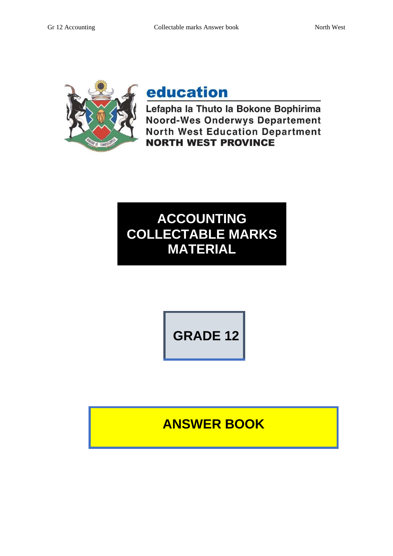

# education

Lefapha la Thuto la Bokone Bophirima **Noord-Wes Onderwys Departement North West Education Department NORTH WEST PROVINCE** 

# **ACCOUNTING COLLECTABLE MARKS MATERIAL**

**GRADE 12**

## **ANSWER BOOK**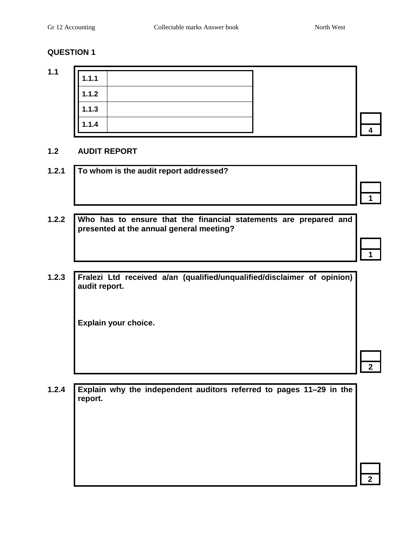**1.1**

| 1.1.1 |  |
|-------|--|
| 1.1.2 |  |
| 1.1.3 |  |
| 1.1.4 |  |

#### **1.2 AUDIT REPORT**

- **1.2.1 To whom is the audit report addressed? 1**
- **1.2.2 Who has to ensure that the financial statements are prepared and presented at the annual general meeting?**
- **1.2.3 Fralezi Ltd received a/an (qualified/unqualified/disclaimer of opinion) audit report.**

**Explain your choice.**

**2**

**2**

**1**

**1.2.4 Explain why the independent auditors referred to pages 11–29 in the report.**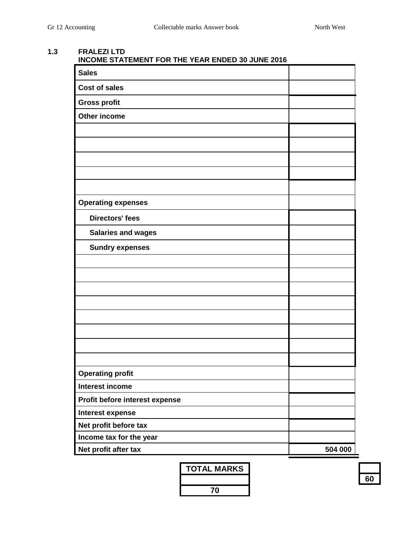#### **1.3 FRALEZI LTD INCOME STATEMENT FOR THE YEAR ENDED 30 JUNE 2016**

| <b>Sales</b>                   |         |
|--------------------------------|---------|
| <b>Cost of sales</b>           |         |
| <b>Gross profit</b>            |         |
| Other income                   |         |
|                                |         |
|                                |         |
|                                |         |
|                                |         |
|                                |         |
| <b>Operating expenses</b>      |         |
| <b>Directors' fees</b>         |         |
| <b>Salaries and wages</b>      |         |
| <b>Sundry expenses</b>         |         |
|                                |         |
|                                |         |
|                                |         |
|                                |         |
|                                |         |
|                                |         |
|                                |         |
|                                |         |
| <b>Operating profit</b>        |         |
| Interest income                |         |
| Profit before interest expense |         |
| <b>Interest expense</b>        |         |
| Net profit before tax          |         |
| Income tax for the year        |         |
| Net profit after tax           | 504 000 |

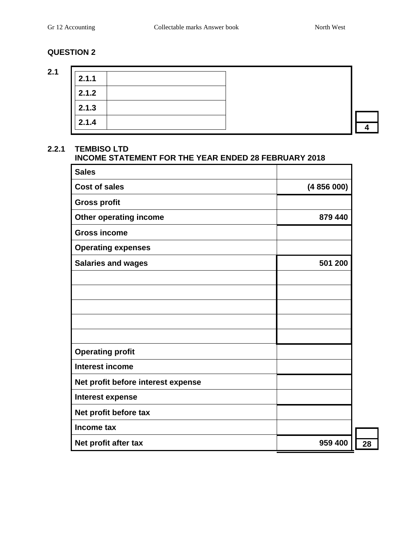| 2.1.1 |  |
|-------|--|
| 2.1.2 |  |
| 2.1.3 |  |
| 2.1.4 |  |

**28**

#### **2.2.1 TEMBISO LTD**

#### **INCOME STATEMENT FOR THE YEAR ENDED 28 FEBRUARY 2018**

| <b>Sales</b>                       |           |
|------------------------------------|-----------|
| <b>Cost of sales</b>               | (4856000) |
| <b>Gross profit</b>                |           |
| Other operating income             | 879 440   |
| <b>Gross income</b>                |           |
| <b>Operating expenses</b>          |           |
| <b>Salaries and wages</b>          | 501 200   |
|                                    |           |
|                                    |           |
|                                    |           |
|                                    |           |
|                                    |           |
| <b>Operating profit</b>            |           |
| <b>Interest income</b>             |           |
| Net profit before interest expense |           |
| <b>Interest expense</b>            |           |
| Net profit before tax              |           |
| Income tax                         |           |
| Net profit after tax               | 959 400   |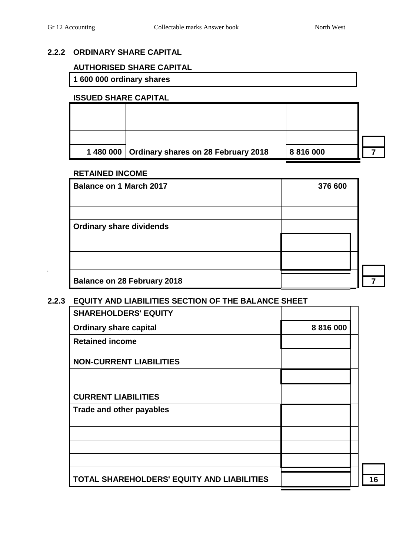**16**

#### **2.2.2 ORDINARY SHARE CAPITAL**

#### **AUTHORISED SHARE CAPITAL**

#### **1 600 000 ordinary shares**

#### **ISSUED SHARE CAPITAL**

| 1480 000   Ordinary shares on 28 February 2018 | 8816000 |  |
|------------------------------------------------|---------|--|

#### **RETAINED INCOME**

| <b>Balance on 1 March 2017</b>     | 376 600 |  |
|------------------------------------|---------|--|
|                                    |         |  |
|                                    |         |  |
| <b>Ordinary share dividends</b>    |         |  |
|                                    |         |  |
|                                    |         |  |
| <b>Balance on 28 February 2018</b> |         |  |

#### **2.2.3 EQUITY AND LIABILITIES SECTION OF THE BALANCE SHEET**

| <b>SHAREHOLDERS' EQUITY</b><br>8 816 000<br><b>Ordinary share capital</b><br><b>Retained income</b><br><b>NON-CURRENT LIABILITIES</b><br><b>CURRENT LIABILITIES</b><br>Trade and other payables<br>TOTAL SHAREHOLDERS' EQUITY AND LIABILITIES |  |  |
|-----------------------------------------------------------------------------------------------------------------------------------------------------------------------------------------------------------------------------------------------|--|--|
|                                                                                                                                                                                                                                               |  |  |
|                                                                                                                                                                                                                                               |  |  |
|                                                                                                                                                                                                                                               |  |  |
|                                                                                                                                                                                                                                               |  |  |
|                                                                                                                                                                                                                                               |  |  |
|                                                                                                                                                                                                                                               |  |  |
|                                                                                                                                                                                                                                               |  |  |
|                                                                                                                                                                                                                                               |  |  |
|                                                                                                                                                                                                                                               |  |  |
|                                                                                                                                                                                                                                               |  |  |
|                                                                                                                                                                                                                                               |  |  |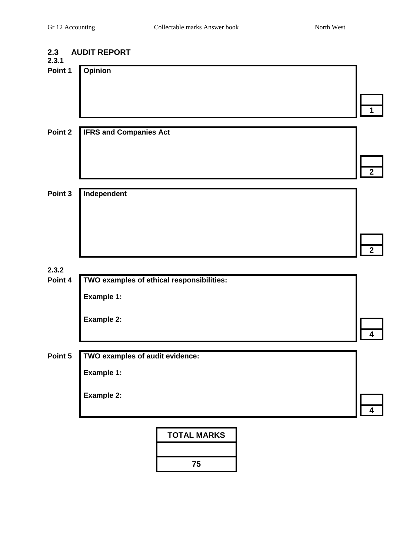| 2.3<br>2.3.1 | <b>AUDIT REPORT</b>                       |                  |
|--------------|-------------------------------------------|------------------|
| Point 1      | <b>Opinion</b>                            |                  |
|              |                                           |                  |
| Point 2      | <b>IFRS and Companies Act</b>             |                  |
|              |                                           | $\boldsymbol{2}$ |
| Point 3      | Independent                               |                  |
|              |                                           | $\overline{2}$   |
| 2.3.2        |                                           |                  |
| Point 4      | TWO examples of ethical responsibilities: |                  |
|              | <b>Example 1:</b>                         |                  |
|              | <b>Example 2:</b>                         | 4                |
| Point 5      | TWO examples of audit evidence:           |                  |
|              | <b>Example 1:</b>                         |                  |
|              | <b>Example 2:</b>                         |                  |
|              | <b>TOTAL MARKS</b>                        |                  |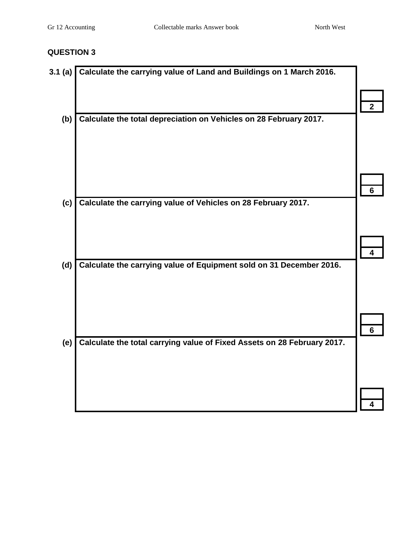| 3.1(a) | Calculate the carrying value of Land and Buildings on 1 March 2016.     |              |
|--------|-------------------------------------------------------------------------|--------------|
|        |                                                                         |              |
|        |                                                                         | $\mathbf{2}$ |
| (b)    | Calculate the total depreciation on Vehicles on 28 February 2017.       |              |
|        |                                                                         |              |
|        |                                                                         |              |
|        |                                                                         |              |
|        |                                                                         |              |
|        |                                                                         |              |
| (c)    | Calculate the carrying value of Vehicles on 28 February 2017.           | 6            |
|        |                                                                         |              |
|        |                                                                         |              |
|        |                                                                         |              |
|        |                                                                         |              |
| (d)    | Calculate the carrying value of Equipment sold on 31 December 2016.     |              |
|        |                                                                         |              |
|        |                                                                         |              |
|        |                                                                         |              |
|        |                                                                         |              |
|        | Calculate the total carrying value of Fixed Assets on 28 February 2017. | 6            |
| (e)    |                                                                         |              |
|        |                                                                         |              |
|        |                                                                         |              |
|        |                                                                         |              |
|        |                                                                         |              |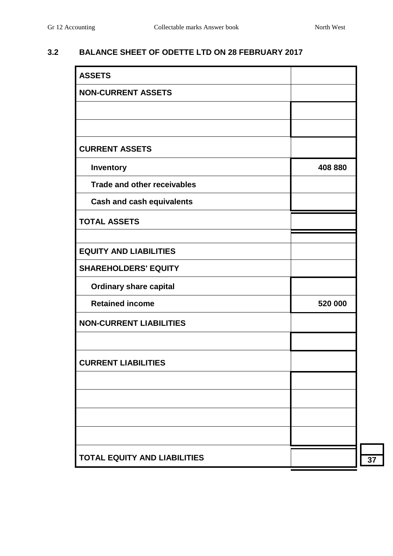#### **3.2 BALANCE SHEET OF ODETTE LTD ON 28 FEBRUARY 2017**

| <b>ASSETS</b>                       |         |
|-------------------------------------|---------|
| <b>NON-CURRENT ASSETS</b>           |         |
|                                     |         |
|                                     |         |
| <b>CURRENT ASSETS</b>               |         |
| <b>Inventory</b>                    | 408 880 |
| <b>Trade and other receivables</b>  |         |
| <b>Cash and cash equivalents</b>    |         |
| <b>TOTAL ASSETS</b>                 |         |
|                                     |         |
| <b>EQUITY AND LIABILITIES</b>       |         |
| <b>SHAREHOLDERS' EQUITY</b>         |         |
| <b>Ordinary share capital</b>       |         |
| <b>Retained income</b>              | 520 000 |
| <b>NON-CURRENT LIABILITIES</b>      |         |
|                                     |         |
| <b>CURRENT LIABILITIES</b>          |         |
|                                     |         |
|                                     |         |
|                                     |         |
|                                     |         |
| <b>TOTAL EQUITY AND LIABILITIES</b> |         |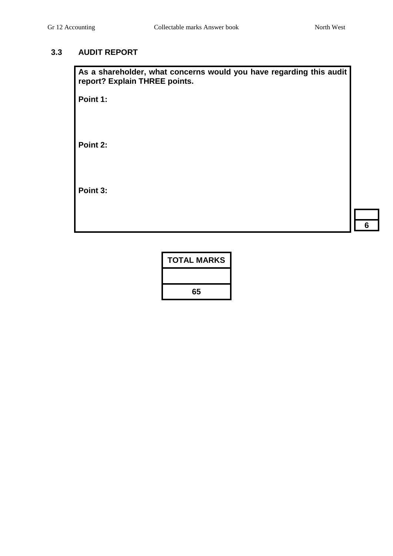#### **3.3 AUDIT REPORT**

**As a shareholder, what concerns would you have regarding this audit report? Explain THREE points.**

**Point 1:**

**Point 2:**

**Point 3:**

| <b>TOTAL MARKS</b> |
|--------------------|
|                    |
| 65                 |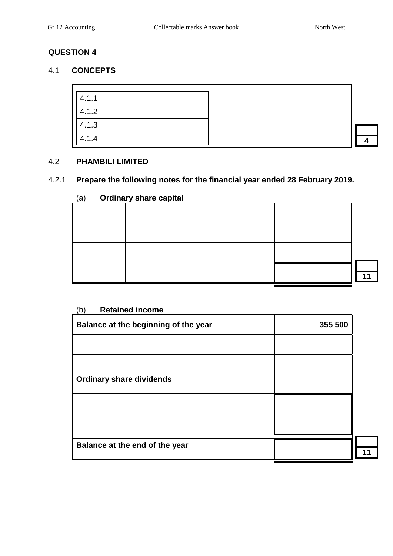#### 4.1 **CONCEPTS**

| 4.1.1 |  |
|-------|--|
| 4.1.2 |  |
| 4.1.3 |  |
| 4.1.4 |  |

#### 4.2 **PHAMBILI LIMITED**

#### 4.2.1 **Prepare the following notes for the financial year ended 28 February 2019.**

#### (a) **Ordinary share capital**

#### (b) **Retained income**

| Balance at the beginning of the year | 355 500 |
|--------------------------------------|---------|
|                                      |         |
|                                      |         |
| <b>Ordinary share dividends</b>      |         |
|                                      |         |
|                                      |         |
|                                      |         |
| Balance at the end of the year       |         |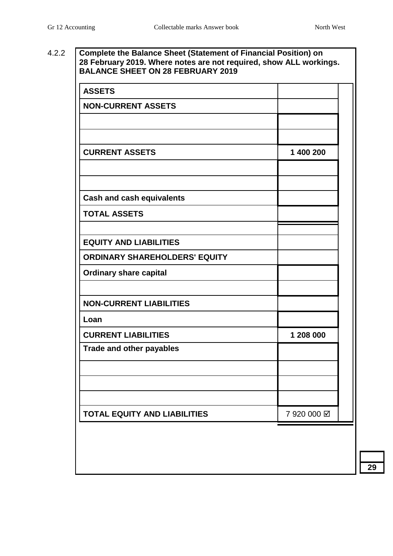# 4.2.2 **Complete the Balance Sheet (Statement of Financial Position) on 28 February 2019. Where notes are not required, show ALL workings. BALANCE SHEET ON 28 FEBRUARY 2019 ASSETS NON-CURRENT ASSETS CURRENT ASSETS 1 400 200 Cash and cash equivalents TOTAL ASSETS EQUITY AND LIABILITIES ORDINARY SHAREHOLDERS' EQUITY Ordinary share capital NON-CURRENT LIABILITIES Loan CURRENT LIABILITIES 1 208 000 Trade and other payables TOTAL EQUITY AND LIABILITIES | 7 920 000 ☑**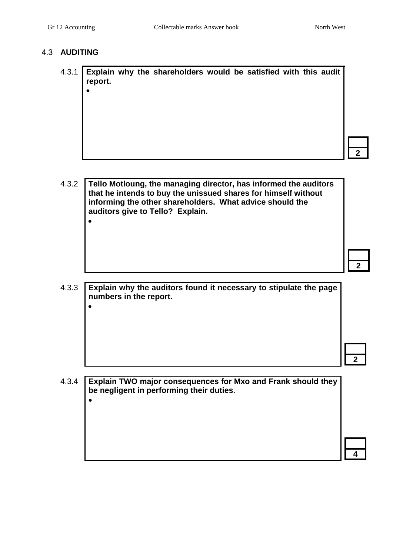#### 4.3 **AUDITING**

4.3.1 **Explain why the shareholders would be satisfied with this audit report.**  $\bullet$ 

4.3.2 **Tello Motloung, the managing director, has informed the auditors that he intends to buy the unissued shares for himself without informing the other shareholders. What advice should the auditors give to Tello? Explain.**  $\bullet$ 

4.3.3 **Explain why the auditors found it necessary to stipulate the page numbers in the report.**  $\bullet$ 

**2**

**4**

4.3.4 **Explain TWO major consequences for Mxo and Frank should they be negligent in performing their duties**.  $\bullet$ 

**2**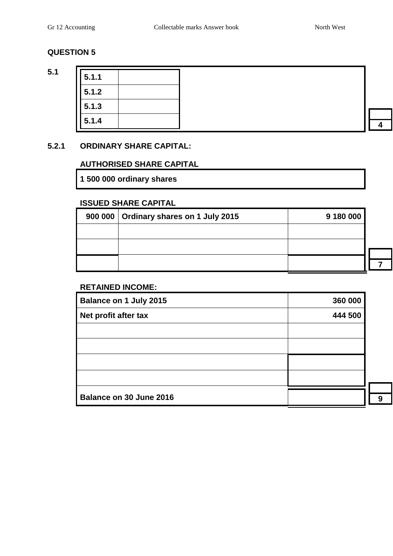**5.1 5.1.1 5.1.2 5.1.3 5.1.4 4 4** 

#### **5.2.1 ORDINARY SHARE CAPITAL:**

#### **AUTHORISED SHARE CAPITAL**

**1 500 000 ordinary shares**

#### **ISSUED SHARE CAPITAL**

| 900 000   Ordinary shares on 1 July 2015 | 9 180 000 |
|------------------------------------------|-----------|
|                                          |           |
|                                          |           |
|                                          |           |

#### **RETAINED INCOME:**

| Balance on 1 July 2015  | 360 000 |   |
|-------------------------|---------|---|
| Net profit after tax    | 444 500 |   |
|                         |         |   |
|                         |         |   |
|                         |         |   |
|                         |         |   |
| Balance on 30 June 2016 |         | 9 |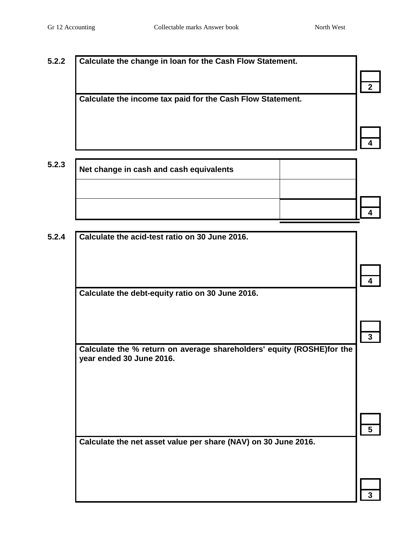**4**

**4**

**3**

# **5.2.2 Calculate the change in loan for the Cash Flow Statement. Calculate the income tax paid for the Cash Flow Statement.**

| 5.2.3 | Net change in cash and cash equivalents |  |
|-------|-----------------------------------------|--|
|       |                                         |  |
|       |                                         |  |

#### **5.2.4 Calculate the acid-test ratio on 30 June 2016.**

| Calculate the debt-equity ratio on 30 June 2016. |  |
|--------------------------------------------------|--|
|--------------------------------------------------|--|

| Calculate the % return on average shareholders' equity (ROSHE)for the |  |
|-----------------------------------------------------------------------|--|
| year ended 30 June 2016.                                              |  |

**Calculate the net asset value per share (NAV) on 30 June 2016.**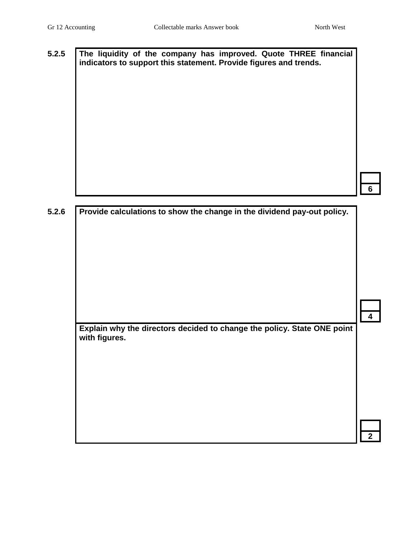#### **5.2.5 The liquidity of the company has improved. Quote THREE financial indicators to support this statement. Provide figures and trends.**

**6**

| 5.2.6 | Provide calculations to show the change in the dividend pay-out policy.                  |   |
|-------|------------------------------------------------------------------------------------------|---|
|       |                                                                                          | 4 |
|       | Explain why the directors decided to change the policy. State ONE point<br>with figures. |   |
|       |                                                                                          |   |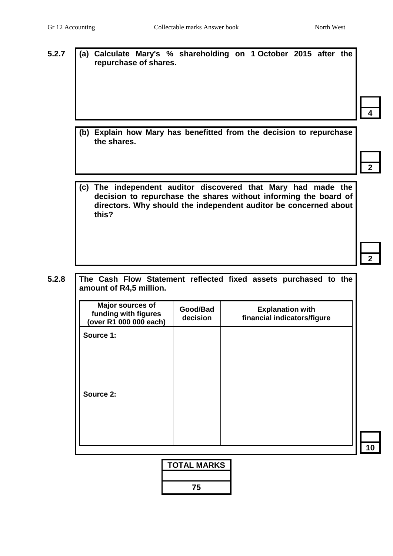**5.2.7 (a) Calculate Mary's % shareholding on 1 October 2015 after the repurchase of shares.**

**4**

**(b) Explain how Mary has benefitted from the decision to repurchase the shares.**

**2**

**(c) The independent auditor discovered that Mary had made the decision to repurchase the shares without informing the board of directors. Why should the independent auditor be concerned about this?**

**2**

**10**

**5.2.8 The Cash Flow Statement reflected fixed assets purchased to the amount of R4,5 million.**

| Major sources of<br>funding with figures<br>(over R1 000 000 each) | Good/Bad<br>decision | <b>Explanation with</b><br>financial indicators/figure |
|--------------------------------------------------------------------|----------------------|--------------------------------------------------------|
| Source 1:                                                          |                      |                                                        |
| Source 2:                                                          |                      |                                                        |

**TOTAL MARKS**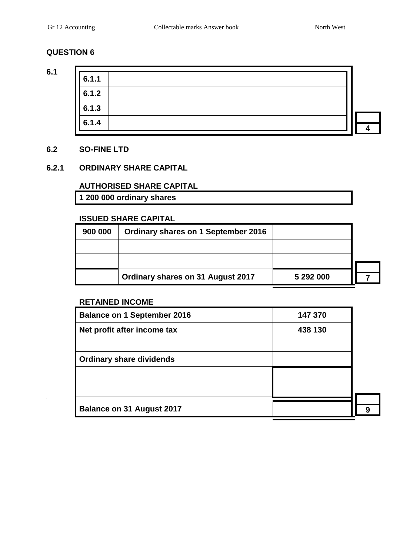#### **6.1**

| 6.1.1 |  |
|-------|--|
| 6.1.2 |  |
| 6.1.3 |  |
| 6.1.4 |  |

#### **6.2 SO-FINE LTD**

#### **6.2.1 ORDINARY SHARE CAPITAL**

#### **AUTHORISED SHARE CAPITAL**

**1 200 000 ordinary shares**

#### **ISSUED SHARE CAPITAL**

| 900 000 | <b>Ordinary shares on 1 September 2016</b> |           |  |
|---------|--------------------------------------------|-----------|--|
|         |                                            |           |  |
|         |                                            |           |  |
|         | <b>Ordinary shares on 31 August 2017</b>   | 5 292 000 |  |

#### **RETAINED INCOME**

| <b>Balance on 1 September 2016</b> | 147 370 |   |
|------------------------------------|---------|---|
| Net profit after income tax        | 438 130 |   |
|                                    |         |   |
| <b>Ordinary share dividends</b>    |         |   |
|                                    |         |   |
|                                    |         |   |
| <b>Balance on 31 August 2017</b>   |         | Q |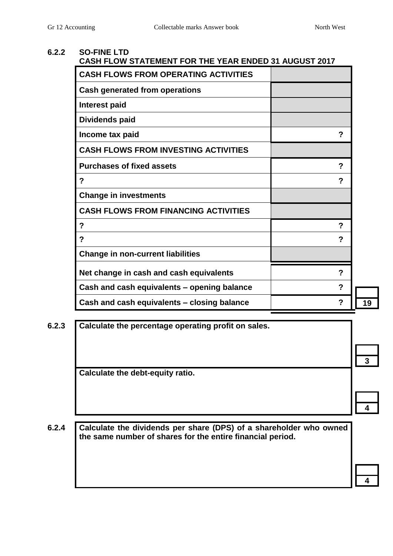#### **6.2.2 SO-FINE LTD CASH FLOW STATEMENT FOR THE YEAR ENDED 31 AUGUST 2017**

| <b>CASH FLOWS FROM OPERATING ACTIVITIES</b> |   |
|---------------------------------------------|---|
| <b>Cash generated from operations</b>       |   |
| <b>Interest paid</b>                        |   |
| Dividends paid                              |   |
| Income tax paid                             | ? |
| <b>CASH FLOWS FROM INVESTING ACTIVITIES</b> |   |
| <b>Purchases of fixed assets</b>            | ? |
| ?                                           | ? |
| <b>Change in investments</b>                |   |
| <b>CASH FLOWS FROM FINANCING ACTIVITIES</b> |   |
| ?                                           | ? |
| ?                                           | ? |
| <b>Change in non-current liabilities</b>    |   |
| Net change in cash and cash equivalents     | ? |
| Cash and cash equivalents - opening balance | ? |
| Cash and cash equivalents - closing balance |   |

#### **6.2.3 Calculate the percentage operating profit on sales.**

**Calculate the debt-equity ratio.**

**6.2.4 Calculate the dividends per share (DPS) of a shareholder who owned the same number of shares for the entire financial period.**

**4**

**19**

**3**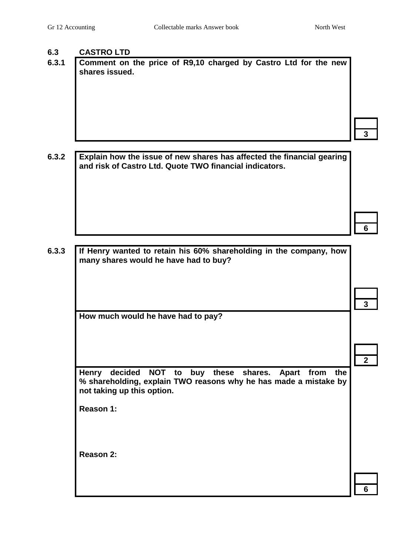**6.3.1 Comment on the price of R9,10 charged by Castro Ltd for the new shares issued.**

**3**

**6.3.2 Explain how the issue of new shares has affected the financial gearing and risk of Castro Ltd. Quote TWO financial indicators.**

| 6.3.3 | If Henry wanted to retain his 60% shareholding in the company, how<br>many shares would he have had to buy?                                                             |              |
|-------|-------------------------------------------------------------------------------------------------------------------------------------------------------------------------|--------------|
|       |                                                                                                                                                                         | 3            |
|       | How much would he have had to pay?                                                                                                                                      |              |
|       |                                                                                                                                                                         | $\mathbf{2}$ |
|       | NOT to buy these shares. Apart<br>decided<br><b>Henry</b><br>from the<br>% shareholding, explain TWO reasons why he has made a mistake by<br>not taking up this option. |              |
|       | Reason 1:                                                                                                                                                               |              |
|       | Reason 2:                                                                                                                                                               |              |
|       |                                                                                                                                                                         |              |
|       |                                                                                                                                                                         |              |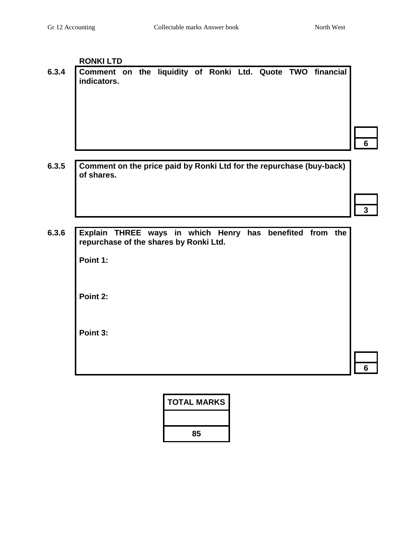| Comment on the liquidity of Ronki Ltd. Quote TWO financial                                                                             | <b>RONKI LTD</b> |  |  |  |  |  |
|----------------------------------------------------------------------------------------------------------------------------------------|------------------|--|--|--|--|--|
| indicators.                                                                                                                            |                  |  |  |  |  |  |
|                                                                                                                                        |                  |  |  |  |  |  |
|                                                                                                                                        |                  |  |  |  |  |  |
|                                                                                                                                        |                  |  |  |  |  |  |
|                                                                                                                                        |                  |  |  |  |  |  |
|                                                                                                                                        |                  |  |  |  |  |  |
|                                                                                                                                        |                  |  |  |  |  |  |
| Comment on the price paid by Ronki Ltd for the repurchase (buy-back)                                                                   |                  |  |  |  |  |  |
| of shares.                                                                                                                             |                  |  |  |  |  |  |
|                                                                                                                                        |                  |  |  |  |  |  |
|                                                                                                                                        |                  |  |  |  |  |  |
|                                                                                                                                        |                  |  |  |  |  |  |
|                                                                                                                                        |                  |  |  |  |  |  |
|                                                                                                                                        |                  |  |  |  |  |  |
|                                                                                                                                        |                  |  |  |  |  |  |
|                                                                                                                                        |                  |  |  |  |  |  |
|                                                                                                                                        |                  |  |  |  |  |  |
|                                                                                                                                        |                  |  |  |  |  |  |
|                                                                                                                                        |                  |  |  |  |  |  |
|                                                                                                                                        |                  |  |  |  |  |  |
|                                                                                                                                        |                  |  |  |  |  |  |
|                                                                                                                                        |                  |  |  |  |  |  |
|                                                                                                                                        |                  |  |  |  |  |  |
| Explain THREE ways in which Henry has benefited from the<br>repurchase of the shares by Ronki Ltd.<br>Point 1:<br>Point 2:<br>Point 3: |                  |  |  |  |  |  |
|                                                                                                                                        |                  |  |  |  |  |  |

| TOTAL MARKS |
|-------------|
|             |
| 85          |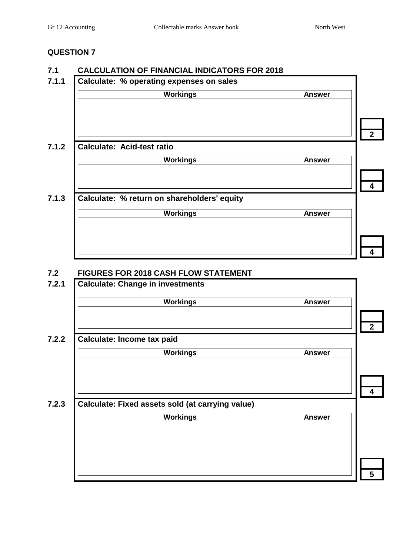#### **QUESTION 7**

#### **7.1 CALCULATION OF FINANCIAL INDICATORS FOR 2018**

| <b>Workings</b><br><b>Calculate: Acid-test ratio</b><br><b>Workings</b><br>Calculate: % return on shareholders' equity<br><b>Workings</b> |
|-------------------------------------------------------------------------------------------------------------------------------------------|
|                                                                                                                                           |
|                                                                                                                                           |
|                                                                                                                                           |
|                                                                                                                                           |
|                                                                                                                                           |
|                                                                                                                                           |
|                                                                                                                                           |
|                                                                                                                                           |
|                                                                                                                                           |
|                                                                                                                                           |
|                                                                                                                                           |
|                                                                                                                                           |
|                                                                                                                                           |
|                                                                                                                                           |
|                                                                                                                                           |
|                                                                                                                                           |

#### **7.2 FIGURES FOR 2018 CASH FLOW STATEMENT**

| 7.2.1 | <b>Calculate: Change in investments</b>          |               |              |
|-------|--------------------------------------------------|---------------|--------------|
|       | <b>Workings</b>                                  | <b>Answer</b> |              |
|       |                                                  |               | $\mathbf{2}$ |
| 7.2.2 | <b>Calculate: Income tax paid</b>                |               |              |
|       | <b>Workings</b>                                  | <b>Answer</b> |              |
|       |                                                  |               |              |
|       |                                                  |               |              |
| 7.2.3 | Calculate: Fixed assets sold (at carrying value) |               | 4            |
|       | <b>Workings</b>                                  | <b>Answer</b> |              |
|       |                                                  |               |              |
|       |                                                  |               |              |
|       |                                                  |               |              |
|       |                                                  |               | 5            |
|       |                                                  |               |              |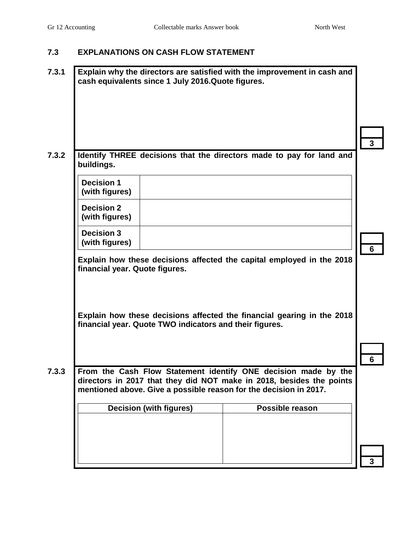#### **7.3 EXPLANATIONS ON CASH FLOW STATEMENT**

| 7.3.1 |                                     | cash equivalents since 1 July 2016.Quote figures.       | Explain why the directors are satisfied with the improvement in cash and                                                                                                                                    |   |
|-------|-------------------------------------|---------------------------------------------------------|-------------------------------------------------------------------------------------------------------------------------------------------------------------------------------------------------------------|---|
| 7.3.2 |                                     |                                                         | Identify THREE decisions that the directors made to pay for land and                                                                                                                                        | 3 |
|       | buildings.                          |                                                         |                                                                                                                                                                                                             |   |
|       | <b>Decision 1</b><br>(with figures) |                                                         |                                                                                                                                                                                                             |   |
|       | <b>Decision 2</b><br>(with figures) |                                                         |                                                                                                                                                                                                             |   |
|       | <b>Decision 3</b><br>(with figures) |                                                         |                                                                                                                                                                                                             | 6 |
|       | financial year. Quote figures.      |                                                         | Explain how these decisions affected the capital employed in the 2018                                                                                                                                       |   |
|       |                                     | financial year. Quote TWO indicators and their figures. | Explain how these decisions affected the financial gearing in the 2018                                                                                                                                      |   |
|       |                                     |                                                         |                                                                                                                                                                                                             |   |
| 7.3.3 |                                     |                                                         | From the Cash Flow Statement identify ONE decision made by the<br>directors in 2017 that they did NOT make in 2018, besides the points<br>mentioned above. Give a possible reason for the decision in 2017. |   |
|       |                                     | <b>Decision (with figures)</b>                          | <b>Possible reason</b>                                                                                                                                                                                      |   |
|       |                                     |                                                         |                                                                                                                                                                                                             |   |
|       |                                     |                                                         |                                                                                                                                                                                                             |   |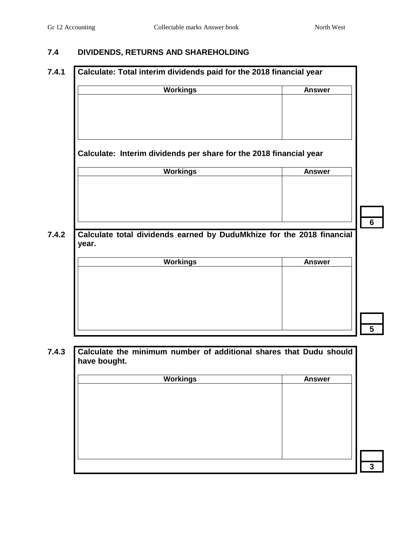#### **7.4 DIVIDENDS, RETURNS AND SHAREHOLDING**

# **7.4.1 Calculate: Total interim dividends paid for the 2018 financial year Workings Answer Calculate: Interim dividends per share for the 2018 financial year Workings Answer 7.4.2 Calculate total dividends earned by DuduMkhize for the 2018 financial year.** Workings **Answer**

**5**

**3**

**6**

#### **7.4.3 Calculate the minimum number of additional shares that Dudu should have bought.**

| <b>Workings</b> | <b>Answer</b> |
|-----------------|---------------|
|                 |               |
|                 |               |
|                 |               |
|                 |               |
|                 |               |
|                 |               |
|                 |               |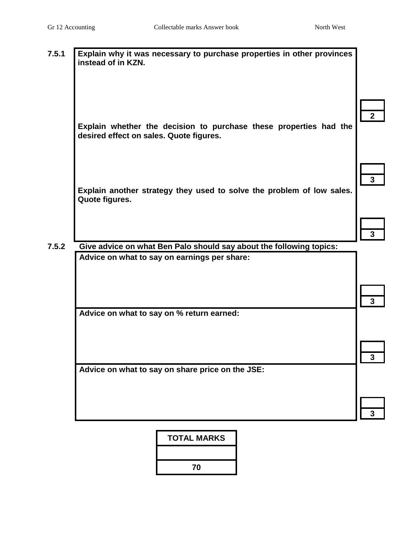| 7.5.1 | Explain why it was necessary to purchase properties in other provinces<br>instead of in KZN.                        |                |
|-------|---------------------------------------------------------------------------------------------------------------------|----------------|
|       | Explain whether the decision to purchase these properties had the<br>desired effect on sales. Quote figures.        | $\overline{2}$ |
|       | Explain another strategy they used to solve the problem of low sales.<br>Quote figures.                             | $\mathbf{3}$   |
| 7.5.2 | Give advice on what Ben Palo should say about the following topics:<br>Advice on what to say on earnings per share: |                |
|       |                                                                                                                     | 3              |
|       | Advice on what to say on % return earned:                                                                           |                |
|       | Advice on what to say on share price on the JSE:                                                                    |                |
|       |                                                                                                                     |                |

|  | <b>TOTAL MARKS</b> |  |
|--|--------------------|--|
|  |                    |  |
|  |                    |  |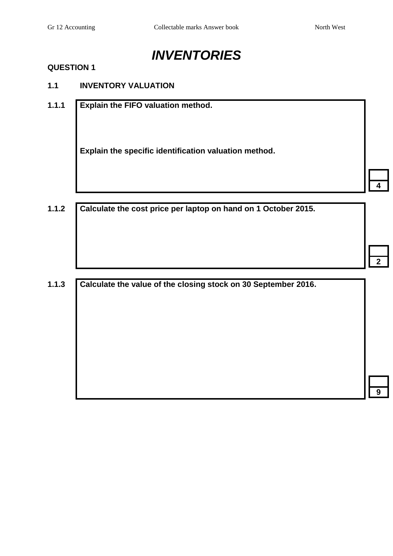

#### **1.1 INVENTORY VALUATION**

**1.1.1 Explain the FIFO valuation method.**

**Explain the specific identification valuation method.**

**1.1.2 Calculate the cost price per laptop on hand on 1 October 2015.**

#### **1.1.3 Calculate the value of the closing stock on 30 September 2016.**

**4**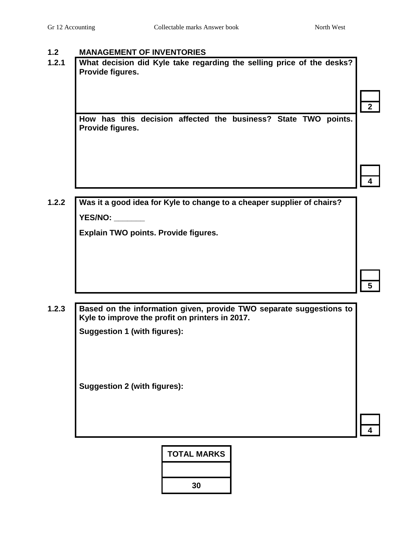#### **1.2 MANAGEMENT OF INVENTORIES**

**1.2.1 What decision did Kyle take regarding the selling price of the desks? Provide figures.**

> **How has this decision affected the business? State TWO points. Provide figures.**

> > **4**

**2**

**1.2.2 Was it a good idea for Kyle to change to a cheaper supplier of chairs? YES/NO: \_\_\_\_\_\_\_**

**Explain TWO points. Provide figures.**

**1.2.3 Based on the information given, provide TWO separate suggestions to Kyle to improve the profit on printers in 2017.**

**Suggestion 1 (with figures):**

**Suggestion 2 (with figures):**

**TOTAL MARKS 30**

**5**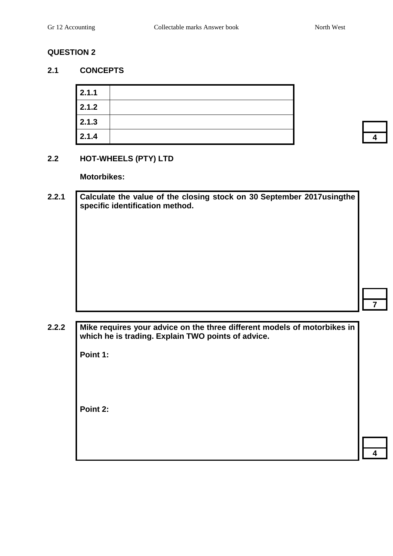#### **2.1 CONCEPTS**

| 2.1.1 |  |
|-------|--|
| 2.1.2 |  |
| 2.1.3 |  |
| 2.1.4 |  |

#### **2.2 HOT-WHEELS (PTY) LTD**

**Motorbikes:**

**2.2.1 Calculate the value of the closing stock on 30 September 2017usingthe specific identification method.**

| 4 |  |
|---|--|
|   |  |

**4**

**2.2.2 Mike requires your advice on the three different models of motorbikes in which he is trading. Explain TWO points of advice.**

**Point 1:**

**Point 2:**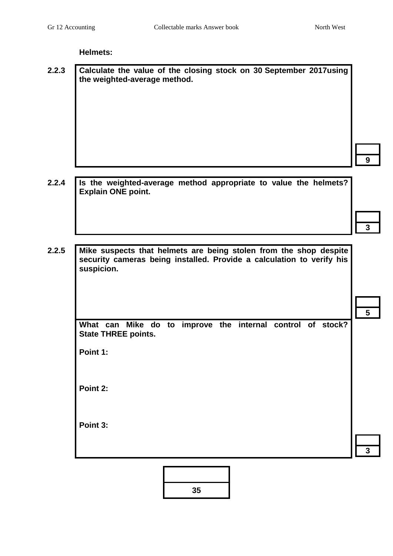**Helmets:**

**2.2.3 Calculate the value of the closing stock on 30 September 2017using the weighted-average method.**

**9**

**2.2.4 Is the weighted-average method appropriate to value the helmets? Explain ONE point.**

**3**

**5**

**2.2.5 Mike suspects that helmets are being stolen from the shop despite security cameras being installed. Provide a calculation to verify his suspicion.**

> **What can Mike do to improve the internal control of stock? State THREE points.**

**Point 1:**

**Point 2:**

**Point 3:**

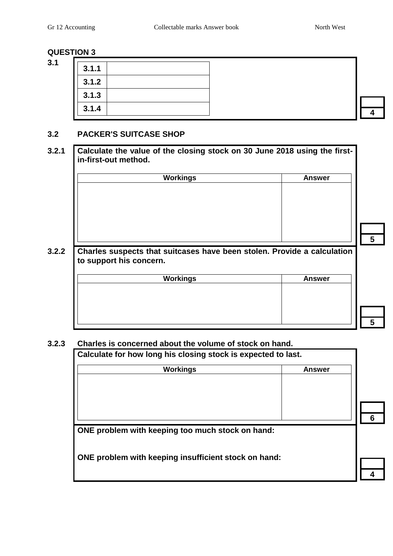**3.1**

| 3.1.1 |  |
|-------|--|
| 3.1.2 |  |
| 3.1.3 |  |
| 3.1.4 |  |

**5**

#### **3.2 PACKER'S SUITCASE SHOP**

| <b>Workings</b> | <b>Answer</b> |
|-----------------|---------------|
|                 |               |
|                 |               |
|                 |               |
|                 |               |
|                 |               |

| <b>Workings</b> | <b>Answer</b> |
|-----------------|---------------|
|                 |               |
|                 |               |
|                 |               |
|                 |               |

#### **3.2.3 Charles is concerned about the volume of stock on hand.**

| ONE problem with keeping insufficient stock on hand: |
|------------------------------------------------------|
| ONE problem with keeping too much stock on hand:     |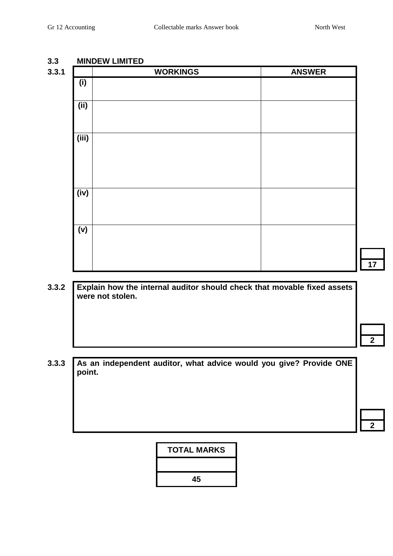#### **3.3 MINDEW LIMITED**

| 3.3.1 | <b>WORKINGS</b> | <b>ANSWER</b> |
|-------|-----------------|---------------|
| (i)   |                 |               |
| (i)   |                 |               |
| (iii) |                 |               |
| (iv)  |                 |               |
| (v)   |                 |               |
|       |                 |               |

#### **3.3.2 Explain how the internal auditor should check that movable fixed assets were not stolen.**

**17**

**3.3.3 As an independent auditor, what advice would you give? Provide ONE point.** 

**2**

#### **TOTAL MARKS**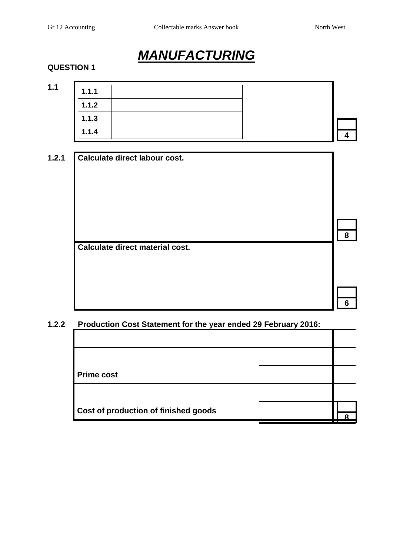**6**

# *MANUFACTURING*

#### **QUESTION 1**

**1.1 1.1.1**

| 1.1.1 |  |  |
|-------|--|--|
| 1.1.2 |  |  |
| 1.1.3 |  |  |
| 1.1.4 |  |  |

**1.2.1 Calculate direct labour cost.**

| Calculate direct material cost. |
|---------------------------------|
|                                 |

#### **1.2.2 Production Cost Statement for the year ended 29 February 2016:**

| <b>Prime cost</b>                    |  |
|--------------------------------------|--|
|                                      |  |
| Cost of production of finished goods |  |
|                                      |  |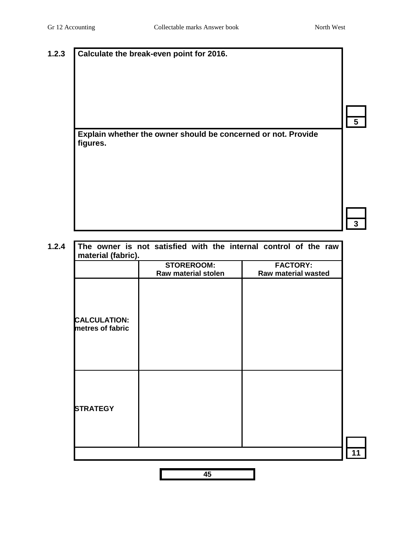#### **1.2.3 Calculate the break-even point for 2016.**

**Explain whether the owner should be concerned or not. Provide figures.**

**3**

**5**

|                                         | <b>STOREROOM:</b><br><b>Raw material stolen</b> | <b>FACTORY:</b><br><b>Raw material wasted</b> |
|-----------------------------------------|-------------------------------------------------|-----------------------------------------------|
| <b>CALCULATION:</b><br>metres of fabric |                                                 |                                               |
| <b>STRATEGY</b>                         |                                                 |                                               |

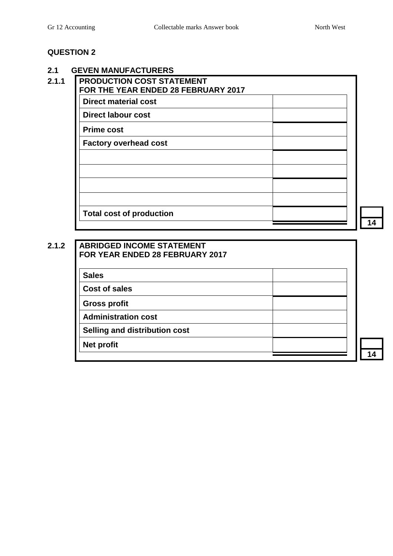# **2.1 GEVEN MANUFACTURERS 2.1.1 PRODUCTION COST STATEMENT FOR THE YEAR ENDED 28 FEBRUARY 2017 Direct material cost Direct labour cost Prime cost Factory overhead cost Total cost of production**

#### **2.1.2 ABRIDGED INCOME STATEMENT FOR YEAR ENDED 28 FEBRUARY 2017**

| <b>Sales</b>                  |  |
|-------------------------------|--|
| <b>Cost of sales</b>          |  |
| <b>Gross profit</b>           |  |
| <b>Administration cost</b>    |  |
| Selling and distribution cost |  |
| Net profit                    |  |
|                               |  |

**14**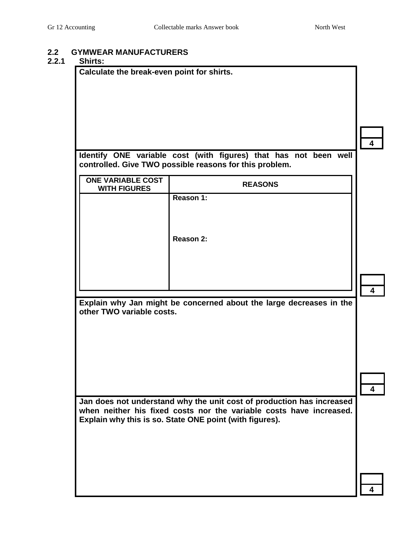# **2.2 GYMWEAR MANUFACTURERS**

#### **2.2.1 Shirts:**

| JIII ເຈ.                                   |                                                                       |   |  |
|--------------------------------------------|-----------------------------------------------------------------------|---|--|
| Calculate the break-even point for shirts. |                                                                       |   |  |
|                                            |                                                                       |   |  |
|                                            |                                                                       |   |  |
|                                            |                                                                       |   |  |
|                                            |                                                                       |   |  |
|                                            |                                                                       |   |  |
|                                            |                                                                       |   |  |
|                                            |                                                                       | 4 |  |
|                                            |                                                                       |   |  |
|                                            | Identify ONE variable cost (with figures) that has not been well      |   |  |
|                                            | controlled. Give TWO possible reasons for this problem.               |   |  |
| <b>ONE VARIABLE COST</b>                   |                                                                       |   |  |
| <b>WITH FIGURES</b>                        | <b>REASONS</b>                                                        |   |  |
|                                            | Reason 1:                                                             |   |  |
|                                            |                                                                       |   |  |
|                                            |                                                                       |   |  |
|                                            |                                                                       |   |  |
|                                            | Reason 2:                                                             |   |  |
|                                            |                                                                       |   |  |
|                                            |                                                                       |   |  |
|                                            |                                                                       |   |  |
|                                            |                                                                       |   |  |
|                                            |                                                                       |   |  |
|                                            |                                                                       | 4 |  |
|                                            | Explain why Jan might be concerned about the large decreases in the   |   |  |
| other TWO variable costs.                  |                                                                       |   |  |
|                                            |                                                                       |   |  |
|                                            |                                                                       |   |  |
|                                            |                                                                       |   |  |
|                                            |                                                                       |   |  |
|                                            |                                                                       |   |  |
|                                            |                                                                       |   |  |
|                                            |                                                                       |   |  |
|                                            |                                                                       |   |  |
|                                            | Jan does not understand why the unit cost of production has increased |   |  |
|                                            | when neither his fixed costs nor the variable costs have increased.   |   |  |
|                                            | Explain why this is so. State ONE point (with figures).               |   |  |
|                                            |                                                                       |   |  |
|                                            |                                                                       |   |  |
|                                            |                                                                       |   |  |
|                                            |                                                                       |   |  |
|                                            |                                                                       |   |  |
|                                            |                                                                       |   |  |
|                                            |                                                                       |   |  |
|                                            |                                                                       |   |  |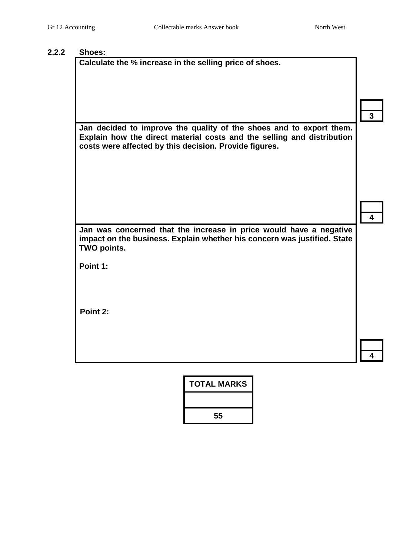**4**

**4**

#### **2.2.2 Shoes:**

**Calculate the % increase in the selling price of shoes.**

**Jan decided to improve the quality of the shoes and to export them. Explain how the direct material costs and the selling and distribution costs were affected by this decision. Provide figures.**

|                    | Jan was concerned that the increase in price would have a negative       |  |  |  |
|--------------------|--------------------------------------------------------------------------|--|--|--|
|                    | impact on the business. Explain whether his concern was justified. State |  |  |  |
| <b>TWO points.</b> |                                                                          |  |  |  |

**Point 1:**

**Point 2:**

| <b>TOTAL MARKS</b> |
|--------------------|
|                    |
| 55                 |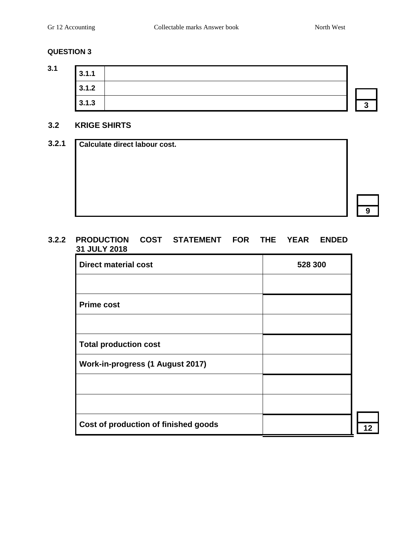**12**

#### **QUESTION 3**

| 3.1 | 3.1.1 |  |        |
|-----|-------|--|--------|
|     | 3.1.2 |  |        |
|     | 3.1.3 |  | €<br>w |

#### **3.2 KRIGE SHIRTS**

**3.2.1 Calculate direct labour cost.**

#### **3.2.2 PRODUCTION COST STATEMENT FOR THE YEAR ENDED 31 JULY 2018**

| <b>Direct material cost</b>          | 528 300 |
|--------------------------------------|---------|
|                                      |         |
| <b>Prime cost</b>                    |         |
|                                      |         |
| <b>Total production cost</b>         |         |
| Work-in-progress (1 August 2017)     |         |
|                                      |         |
|                                      |         |
| Cost of production of finished goods |         |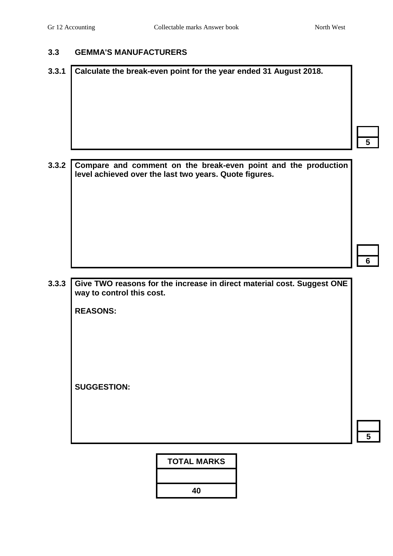#### **3.3 GEMMA'S MANUFACTURERS**

# **3.3.1 Calculate the break-even point for the year ended 31 August 2018.**

**3.3.2 Compare and comment on the break-even point and the production level achieved over the last two years. Quote figures.**

**6**

**5**

**3.3.3 Give TWO reasons for the increase in direct material cost. Suggest ONE way to control this cost.**

**REASONS:** 

**SUGGESTION:**

**TOTAL MARKS**

**40**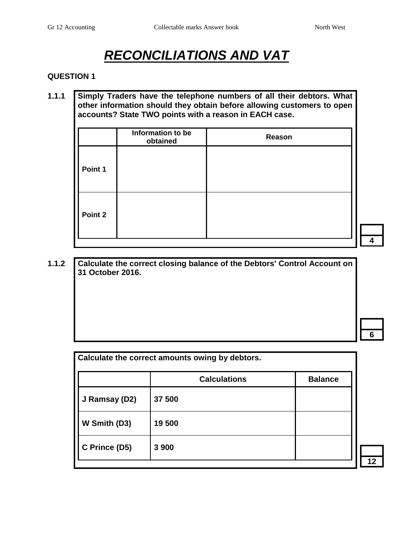# *RECONCILIATIONS AND VAT*

#### **QUESTION 1**

#### **1.1.1 Simply Traders have the telephone numbers of all their debtors. What other information should they obtain before allowing customers to open accounts? State TWO points with a reason in EACH case.**

|         | Information to be<br>obtained | Reason |
|---------|-------------------------------|--------|
| Point 1 |                               |        |
| Point 2 |                               |        |

**1.1.2 Calculate the correct closing balance of the Debtors' Control Account on 31 October 2016.**

**6**

**4**

| Calculate the correct amounts owing by debtors. |                     |                |  |
|-------------------------------------------------|---------------------|----------------|--|
|                                                 | <b>Calculations</b> | <b>Balance</b> |  |
| J Ramsay (D2)                                   | 37 500              |                |  |
| W Smith (D3)                                    | 19 500              |                |  |
| C Prince (D5)                                   | 3 900               |                |  |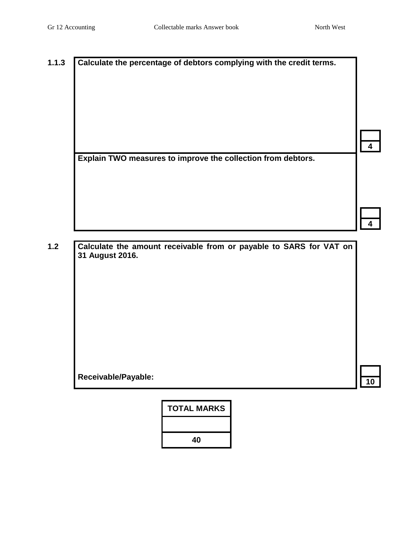**4**

#### **1.1.3 Calculate the percentage of debtors complying with the credit terms.**

**Explain TWO measures to improve the collection from debtors.**

**1.2 Calculate the amount receivable from or payable to SARS for VAT on 31 August 2016.**

**10 Receivable/Payable:** 

| TOTAL MARKS |
|-------------|
|             |
| 40          |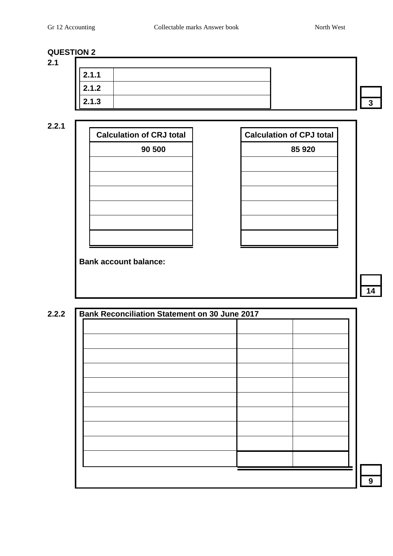| v. | I |
|----|---|
|    |   |
|    |   |
|    |   |

| - - - - |  |   |
|---------|--|---|
|         |  |   |
| 2.1.1   |  |   |
| 2.1.2   |  |   |
| 2.1.3   |  | ົ |

#### **2.2.1**

| <b>Calculation of CRJ total</b> | <b>Calculation of CPJ total</b> |
|---------------------------------|---------------------------------|
| 90 500                          | 85 920                          |
|                                 |                                 |
|                                 |                                 |
|                                 |                                 |
|                                 |                                 |
|                                 |                                 |
|                                 |                                 |

| of CRJ total | <b>Calculation of CPJ total</b> |
|--------------|---------------------------------|
| 90 500       | 85 920                          |
|              |                                 |
|              |                                 |
|              |                                 |
|              |                                 |
|              |                                 |
|              |                                 |
|              |                                 |
|              |                                 |

**Bank account balance:**

**14**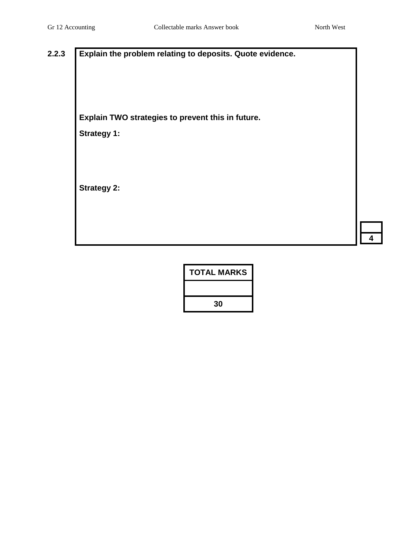**2.2.3 Explain the problem relating to deposits. Quote evidence. Explain TWO strategies to prevent this in future. Strategy 1: Strategy 2:**

| TOTAL MARKS |
|-------------|
|             |
| 30          |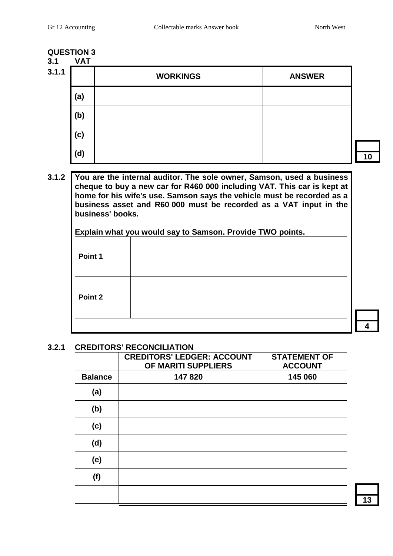#### **3.1 VAT**

|       | <b>VAI</b> |                 |               |
|-------|------------|-----------------|---------------|
| 3.1.1 |            | <b>WORKINGS</b> | <b>ANSWER</b> |
| (a)   |            |                 |               |
| (b)   |            |                 |               |
| (c)   |            |                 |               |
| (d)   |            |                 |               |

**3.1.2 You are the internal auditor. The sole owner, Samson, used a business cheque to buy a new car for R460 000 including VAT. This car is kept at home for his wife's use. Samson says the vehicle must be recorded as a business asset and R60 000 must be recorded as a VAT input in the business' books.**

**Explain what you would say to Samson. Provide TWO points.**

|         | -Apiani what you would buy to bannoon. I To have TWO pointed |  |
|---------|--------------------------------------------------------------|--|
| Point 1 |                                                              |  |
| Point 2 |                                                              |  |
|         |                                                              |  |

#### **3.2.1 CREDITORS' RECONCILIATION**

|                | <b>CREDITORS' LEDGER: ACCOUNT</b><br>OF MARITI SUPPLIERS | <b>STATEMENT OF</b><br><b>ACCOUNT</b> |
|----------------|----------------------------------------------------------|---------------------------------------|
| <b>Balance</b> | 147820                                                   | 145 060                               |
| (a)            |                                                          |                                       |
| (b)            |                                                          |                                       |
| (c)            |                                                          |                                       |
| (d)            |                                                          |                                       |
| (e)            |                                                          |                                       |
| (f)            |                                                          |                                       |
|                |                                                          |                                       |

**13**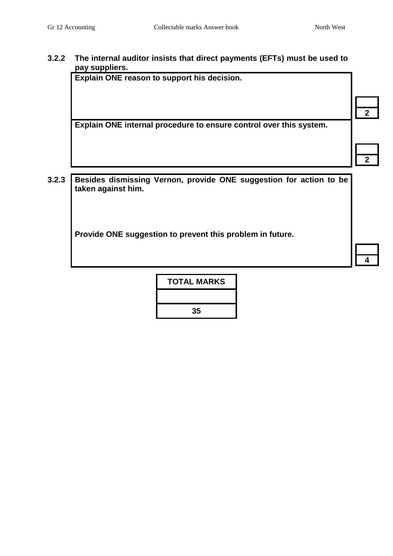#### **3.2.2 The internal auditor insists that direct payments (EFTs) must be used to pay suppliers.**

**Explain ONE reason to support his decision.**

**Explain ONE internal procedure to ensure control over this system.**

| ٠ |
|---|

**4**

**2**

**3.2.3 Besides dismissing Vernon, provide ONE suggestion for action to be taken against him.**

**Provide ONE suggestion to prevent this problem in future.**

| <b>TOTAL MARKS</b> |
|--------------------|
|                    |
| 35                 |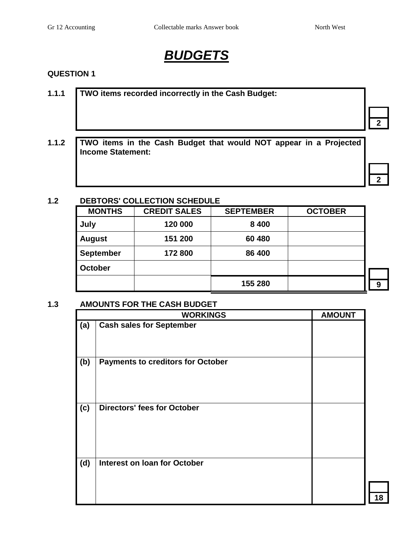## *BUDGETS*

#### **QUESTION 1**

**1.1.1 TWO items recorded incorrectly in the Cash Budget:**

**2**

**1.1.2 TWO items in the Cash Budget that would NOT appear in a Projected Income Statement:**

**2**

#### **1.2 DEBTORS' COLLECTION SCHEDULE**

| <b>MONTHS</b>    | <b>CREDIT SALES</b> | <b>SEPTEMBER</b> | <b>OCTOBER</b> |
|------------------|---------------------|------------------|----------------|
| July             | 120 000             | 8 4 0 0          |                |
| <b>August</b>    | 151 200             | 60 480           |                |
| <b>September</b> | 172800              | 86 400           |                |
| <b>October</b>   |                     |                  |                |
|                  |                     | 155 280          |                |

#### **1.3 AMOUNTS FOR THE CASH BUDGET**

|     | <b>WORKINGS</b>                          | <b>AMOUNT</b> |
|-----|------------------------------------------|---------------|
| (a) | <b>Cash sales for September</b>          |               |
| (b) | <b>Payments to creditors for October</b> |               |
| (c) | <b>Directors' fees for October</b>       |               |
| (d) | <b>Interest on loan for October</b>      |               |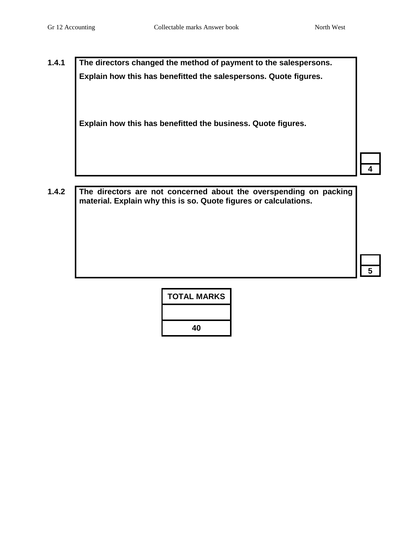**1.4.1 The directors changed the method of payment to the salespersons. Explain how this has benefitted the salespersons. Quote figures.**

**Explain how this has benefitted the business. Quote figures.**

**4**

**5**

**1.4.2 The directors are not concerned about the overspending on packing material. Explain why this is so. Quote figures or calculations.**

> **TOTAL MARKS 40**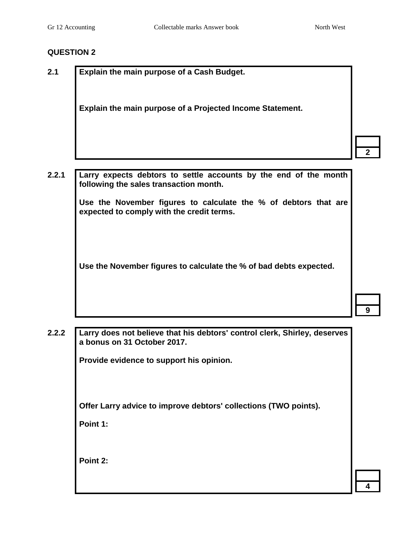**2.1 Explain the main purpose of a Cash Budget.**

**Explain the main purpose of a Projected Income Statement.**

**2**

**2.2.1 Larry expects debtors to settle accounts by the end of the month following the sales transaction month.** 

> **Use the November figures to calculate the % of debtors that are expected to comply with the credit terms.**

**Use the November figures to calculate the % of bad debts expected.**

**9**

**2.2.2 Larry does not believe that his debtors' control clerk, Shirley, deserves a bonus on 31 October 2017.**

**Provide evidence to support his opinion.** 

**Offer Larry advice to improve debtors' collections (TWO points).**

**Point 1:**

**Point 2:**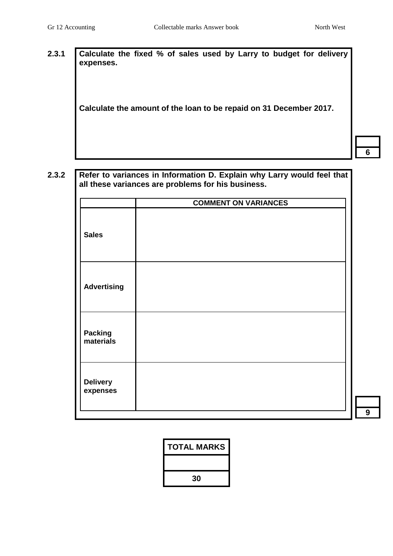#### **2.3.1 Calculate the fixed % of sales used by Larry to budget for delivery expenses.**

**Calculate the amount of the loan to be repaid on 31 December 2017.**

**6**

**2.3.2 Refer to variances in Information D. Explain why Larry would feel that all these variances are problems for his business.** 

|                             | <b>COMMENT ON VARIANCES</b> |
|-----------------------------|-----------------------------|
| <b>Sales</b>                |                             |
| <b>Advertising</b>          |                             |
| <b>Packing</b><br>materials |                             |
| <b>Delivery</b><br>expenses |                             |

| TOTAL MARKS |
|-------------|
|             |
| 30          |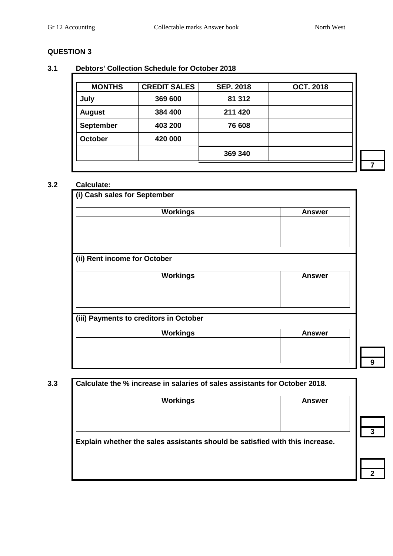#### **3.1 Debtors' Collection Schedule for October 2018**

| <b>MONTHS</b>    | <b>CREDIT SALES</b> | <b>SEP. 2018</b> | <b>OCT. 2018</b> |
|------------------|---------------------|------------------|------------------|
| July             | 369 600             | 81 312           |                  |
| <b>August</b>    | 384 400             | 211 420          |                  |
| <b>September</b> | 403 200             | 76 608           |                  |
| <b>October</b>   | 420 000             |                  |                  |
|                  |                     | 369 340          |                  |

#### **3.2 Calculate:**

| (i) Cash sales for September           |               |
|----------------------------------------|---------------|
| <b>Workings</b>                        | <b>Answer</b> |
|                                        |               |
|                                        |               |
|                                        |               |
| (ii) Rent income for October           |               |
| <b>Workings</b>                        | <b>Answer</b> |
|                                        |               |
|                                        |               |
|                                        |               |
| (iii) Payments to creditors in October |               |
| <b>Workings</b>                        | <b>Answer</b> |
|                                        |               |
|                                        |               |

#### **3.3 Calculate the % increase in salaries of sales assistants for October 2018.**

| Explain whether the sales assistants should be satisfied with this increase. |  |
|------------------------------------------------------------------------------|--|

**7**

**9**

**3**